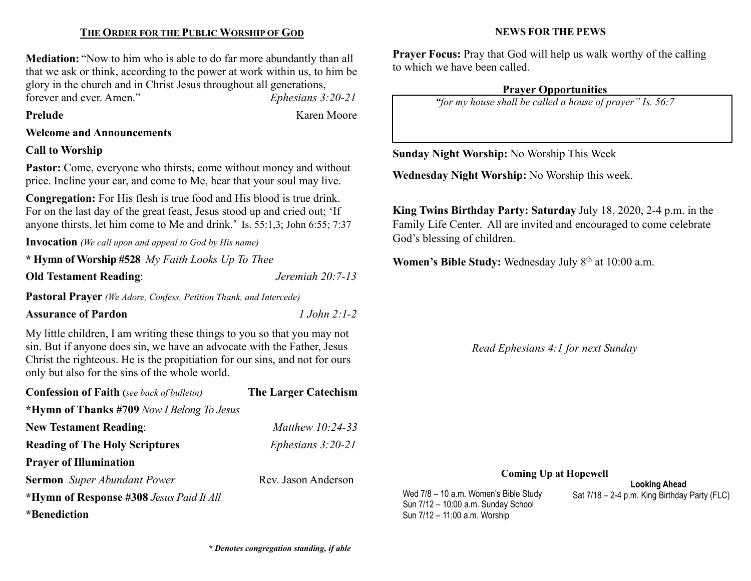## THE ORDER FOR THE PUBLIC WORSHIP OF GOD

Mediation: "Now to him who is able to do far more abundantly than all that we ask or think, according to the power at work within us, to him be glory in the church and in Christ Jesus throughout all generations, forever and ever. Amen." Ephesians 3:20-21

Prelude Karen Moore

Welcome and Announcements

### Call to Worship

Pastor: Come, everyone who thirsts, come without money and without price. Incline your ear, and come to Me, hear that your soul may live.

Congregation: For His flesh is true food and His blood is true drink. For on the last day of the great feast, Jesus stood up and cried out; 'If anyone thirsts, let him come to Me and drink.' Is. 55:1,3; John 6:55; 7:37

Invocation (We call upon and appeal to God by His name)

|  | * Hymn of Worship #528 My Faith Looks Up To Thee |
|--|--------------------------------------------------|
|--|--------------------------------------------------|

Old Testament Reading: Jeremiah 20:7-13

Pastoral Prayer (We Adore, Confess, Petition Thank, and Intercede)

### Assurance of Pardon 2:1-2

My little children, I am writing these things to you so that you may not sin. But if anyone does sin, we have an advocate with the Father, Jesus Christ the righteous. He is the propitiation for our sins, and not for ours only but also for the sins of the whole world.

| <b>Confession of Faith</b> (see back of bulletin) | <b>The Larger Catechism</b> |
|---------------------------------------------------|-----------------------------|
| *Hymn of Thanks #709 Now I Belong To Jesus        |                             |
| <b>New Testament Reading:</b>                     | <i>Matthew 10:24-33</i>     |
| <b>Reading of The Holy Scriptures</b>             | Ephesians $3:20-21$         |
| <b>Prayer of Illumination</b>                     |                             |
| <b>Sermon</b> Super Abundant Power                | Rev. Jason Anderson         |
| *Hymn of Response #308 Jesus Paid It All          |                             |
| *Benediction                                      |                             |

NEWS FOR THE PEWS

Prayer Focus: Pray that God will help us walk worthy of the calling to which we have been called.

#### Prayer Opportunities

"for my house shall be called a house of prayer" Is. 56:7

Sunday Night Worship: No Worship This Week

Wednesday Night Worship: No Worship this week.

King Twins Birthday Party: Saturday July 18, 2020, 2-4 p.m. in the Family Life Center. All are invited and encouraged to come celebrate God's blessing of children.

Women's Bible Study: Wednesday July  $8<sup>th</sup>$  at 10:00 a.m.

Read Ephesians 4:1 for next Sunday

#### Coming Up at Hopewell

Sun 7/12 – 10:00 a.m. Sunday School Sun 7/12 – 11:00 a.m. Worship

Looking Ahead Wed  $7/8 - 10$  a.m. Women's Bible Study Sat  $7/18 - 2-4$  p.m. King Birthday Party (FLC)

\* Denotes congregation standing, if able